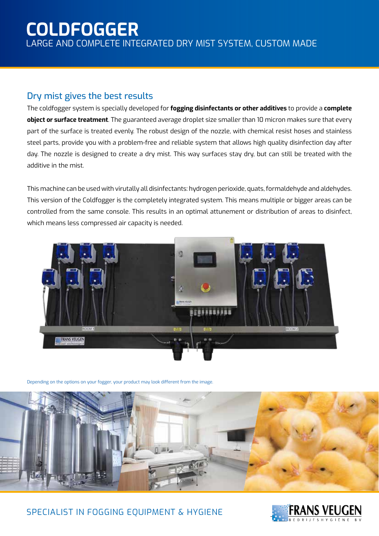# **COLDFOGGER**

LARGE AND COMPLETE INTEGRATED DRY MIST SYSTEM, CUSTOM MADE

#### Dry mist gives the best results

The coldfogger system is specially developed for **fogging disinfectants or other additives** to provide a **complete object or surface treatment**. The guaranteed average droplet size smaller than 10 micron makes sure that every part of the surface is treated evenly. The robust design of the nozzle, with chemical resist hoses and stainless steel parts, provide you with a problem-free and reliable system that allows high quality disinfection day after day. The nozzle is designed to create a dry mist. This way surfaces stay dry, but can still be treated with the additive in the mist.

This machine can be used with virutally all disinfectants: hydrogen perioxide, quats, formaldehyde and aldehydes. This version of the Coldfogger is the completely integrated system. This means multiple or bigger areas can be controlled from the same console. This results in an optimal attunement or distribution of areas to disinfect, which means less compressed air capacity is needed.



Depending on the options on your fogger, your product may look different from the image.



#### SPECIALIST IN FOGGING EOUIPMENT & HYGIENE